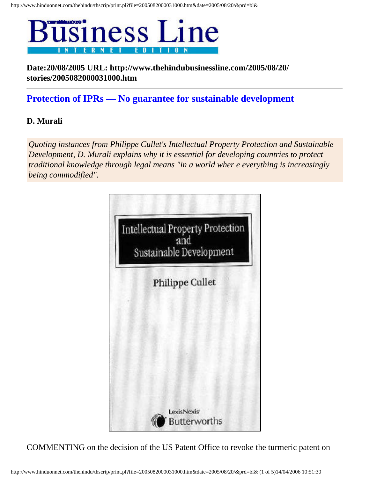

**Date:20/08/2005 URL: http://www.thehindubusinessline.com/2005/08/20/ stories/2005082000031000.htm**

## **Protection of IPRs — No guarantee for sustainable development**

## **D. Murali**

*Quoting instances from Philippe Cullet's Intellectual Property Protection and Sustainable Development, D. Murali explains why it is essential for developing countries to protect traditional knowledge through legal means "in a world wher e everything is increasingly being commodified".* 



COMMENTING on the decision of the US Patent Office to revoke the turmeric patent on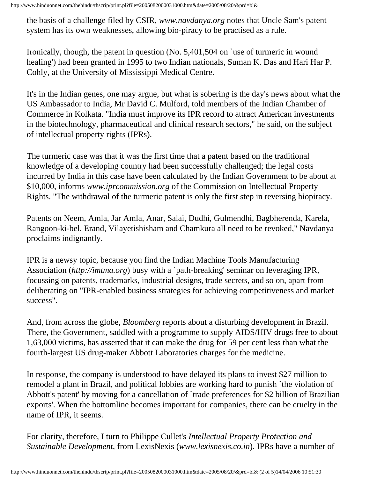http://www.hinduonnet.com/thehindu/thscrip/print.pl?file=2005082000031000.htm&date=2005/08/20/&prd=bl&

the basis of a challenge filed by CSIR, *www.navdanya.org* notes that Uncle Sam's patent system has its own weaknesses, allowing bio-piracy to be practised as a rule.

Ironically, though, the patent in question (No. 5,401,504 on `use of turmeric in wound healing') had been granted in 1995 to two Indian nationals, Suman K. Das and Hari Har P. Cohly, at the University of Mississippi Medical Centre.

It's in the Indian genes, one may argue, but what is sobering is the day's news about what the US Ambassador to India, Mr David C. Mulford, told members of the Indian Chamber of Commerce in Kolkata. "India must improve its IPR record to attract American investments in the biotechnology, pharmaceutical and clinical research sectors," he said, on the subject of intellectual property rights (IPRs).

The turmeric case was that it was the first time that a patent based on the traditional knowledge of a developing country had been successfully challenged; the legal costs incurred by India in this case have been calculated by the Indian Government to be about at \$10,000, informs *www.iprcommission.org* of the Commission on Intellectual Property Rights. "The withdrawal of the turmeric patent is only the first step in reversing biopiracy.

Patents on Neem, Amla, Jar Amla, Anar, Salai, Dudhi, Gulmendhi, Bagbherenda, Karela, Rangoon-ki-bel, Erand, Vilayetishisham and Chamkura all need to be revoked," Navdanya proclaims indignantly.

IPR is a newsy topic, because you find the Indian Machine Tools Manufacturing Association (*http://imtma.org*) busy with a `path-breaking' seminar on leveraging IPR, focussing on patents, trademarks, industrial designs, trade secrets, and so on, apart from deliberating on "IPR-enabled business strategies for achieving competitiveness and market success".

And, from across the globe, *Bloomberg* reports about a disturbing development in Brazil. There, the Government, saddled with a programme to supply AIDS/HIV drugs free to about 1,63,000 victims, has asserted that it can make the drug for 59 per cent less than what the fourth-largest US drug-maker Abbott Laboratories charges for the medicine.

In response, the company is understood to have delayed its plans to invest \$27 million to remodel a plant in Brazil, and political lobbies are working hard to punish `the violation of Abbott's patent' by moving for a cancellation of `trade preferences for \$2 billion of Brazilian exports'. When the bottomline becomes important for companies, there can be cruelty in the name of IPR, it seems.

For clarity, therefore, I turn to Philippe Cullet's *Intellectual Property Protection and Sustainable Development*, from LexisNexis (*www.lexisnexis.co.in*). IPRs have a number of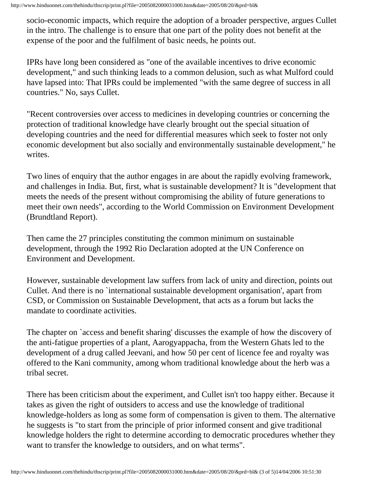http://www.hinduonnet.com/thehindu/thscrip/print.pl?file=2005082000031000.htm&date=2005/08/20/&prd=bl&

socio-economic impacts, which require the adoption of a broader perspective, argues Cullet in the intro. The challenge is to ensure that one part of the polity does not benefit at the expense of the poor and the fulfilment of basic needs, he points out.

IPRs have long been considered as "one of the available incentives to drive economic development," and such thinking leads to a common delusion, such as what Mulford could have lapsed into: That IPRs could be implemented "with the same degree of success in all countries." No, says Cullet.

"Recent controversies over access to medicines in developing countries or concerning the protection of traditional knowledge have clearly brought out the special situation of developing countries and the need for differential measures which seek to foster not only economic development but also socially and environmentally sustainable development," he writes.

Two lines of enquiry that the author engages in are about the rapidly evolving framework, and challenges in India. But, first, what is sustainable development? It is "development that meets the needs of the present without compromising the ability of future generations to meet their own needs", according to the World Commission on Environment Development (Brundtland Report).

Then came the 27 principles constituting the common minimum on sustainable development, through the 1992 Rio Declaration adopted at the UN Conference on Environment and Development.

However, sustainable development law suffers from lack of unity and direction, points out Cullet. And there is no `international sustainable development organisation', apart from CSD, or Commission on Sustainable Development, that acts as a forum but lacks the mandate to coordinate activities.

The chapter on `access and benefit sharing' discusses the example of how the discovery of the anti-fatigue properties of a plant, Aarogyappacha, from the Western Ghats led to the development of a drug called Jeevani, and how 50 per cent of licence fee and royalty was offered to the Kani community, among whom traditional knowledge about the herb was a tribal secret.

There has been criticism about the experiment, and Cullet isn't too happy either. Because it takes as given the right of outsiders to access and use the knowledge of traditional knowledge-holders as long as some form of compensation is given to them. The alternative he suggests is "to start from the principle of prior informed consent and give traditional knowledge holders the right to determine according to democratic procedures whether they want to transfer the knowledge to outsiders, and on what terms".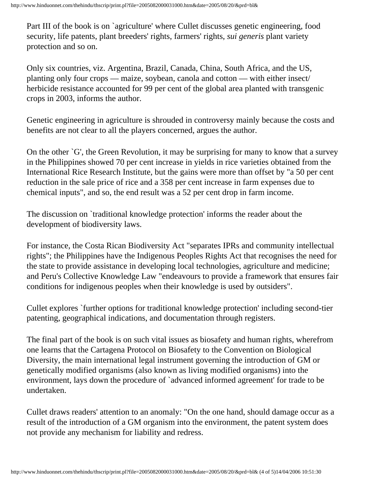Part III of the book is on `agriculture' where Cullet discusses genetic engineering, food security, life patents, plant breeders' rights, farmers' rights, *sui generis* plant variety protection and so on.

Only six countries, viz. Argentina, Brazil, Canada, China, South Africa, and the US, planting only four crops — maize, soybean, canola and cotton — with either insect/ herbicide resistance accounted for 99 per cent of the global area planted with transgenic crops in 2003, informs the author.

Genetic engineering in agriculture is shrouded in controversy mainly because the costs and benefits are not clear to all the players concerned, argues the author.

On the other `G', the Green Revolution, it may be surprising for many to know that a survey in the Philippines showed 70 per cent increase in yields in rice varieties obtained from the International Rice Research Institute, but the gains were more than offset by "a 50 per cent reduction in the sale price of rice and a 358 per cent increase in farm expenses due to chemical inputs", and so, the end result was a 52 per cent drop in farm income.

The discussion on `traditional knowledge protection' informs the reader about the development of biodiversity laws.

For instance, the Costa Rican Biodiversity Act "separates IPRs and community intellectual rights"; the Philippines have the Indigenous Peoples Rights Act that recognises the need for the state to provide assistance in developing local technologies, agriculture and medicine; and Peru's Collective Knowledge Law "endeavours to provide a framework that ensures fair conditions for indigenous peoples when their knowledge is used by outsiders".

Cullet explores `further options for traditional knowledge protection' including second-tier patenting, geographical indications, and documentation through registers.

The final part of the book is on such vital issues as biosafety and human rights, wherefrom one learns that the Cartagena Protocol on Biosafety to the Convention on Biological Diversity, the main international legal instrument governing the introduction of GM or genetically modified organisms (also known as living modified organisms) into the environment, lays down the procedure of `advanced informed agreement' for trade to be undertaken.

Cullet draws readers' attention to an anomaly: "On the one hand, should damage occur as a result of the introduction of a GM organism into the environment, the patent system does not provide any mechanism for liability and redress.